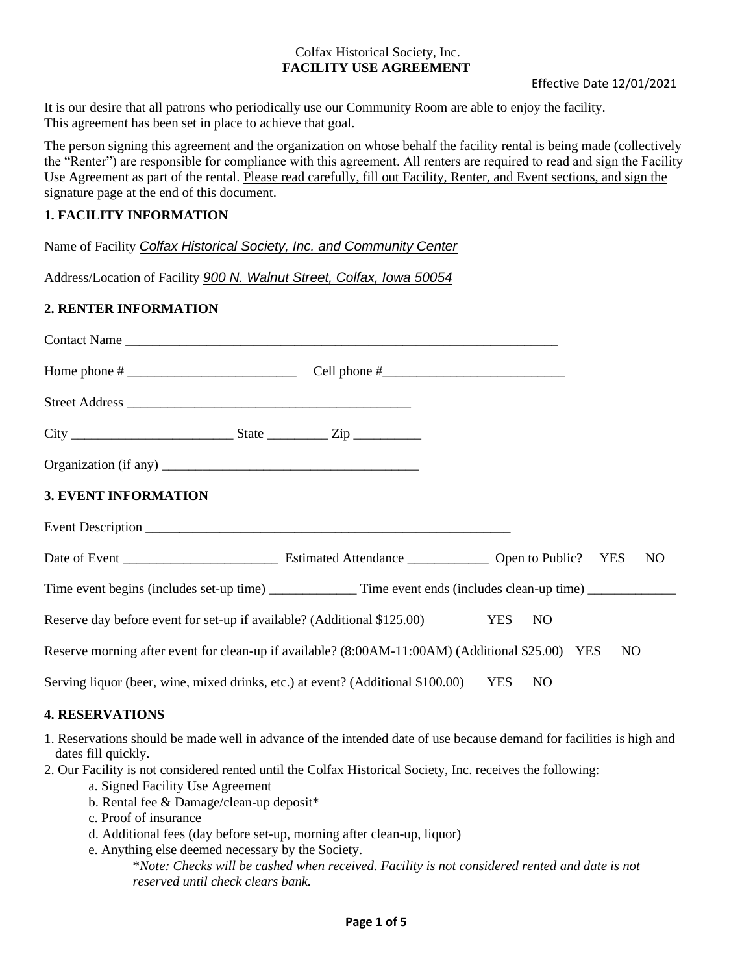It is our desire that all patrons who periodically use our Community Room are able to enjoy the facility. This agreement has been set in place to achieve that goal.

The person signing this agreement and the organization on whose behalf the facility rental is being made (collectively the "Renter") are responsible for compliance with this agreement. All renters are required to read and sign the Facility Use Agreement as part of the rental. Please read carefully, fill out Facility, Renter, and Event sections, and sign the signature page at the end of this document.

### **1. FACILITY INFORMATION**

Name of Facility *Colfax Historical Society, Inc. and Community Center*

Address/Location of Facility *900 N. Walnut Street, Colfax, Iowa 50054*

## **2. RENTER INFORMATION**

| <b>3. EVENT INFORMATION</b>                                                                      |                              |
|--------------------------------------------------------------------------------------------------|------------------------------|
|                                                                                                  |                              |
|                                                                                                  | N <sub>O</sub>               |
|                                                                                                  |                              |
| Reserve day before event for set-up if available? (Additional \$125.00)                          | <b>YES</b><br>N <sub>O</sub> |
| Reserve morning after event for clean-up if available? (8:00AM-11:00AM) (Additional \$25.00) YES | N <sub>O</sub>               |
| Serving liquor (beer, wine, mixed drinks, etc.) at event? (Additional \$100.00)                  | <b>YES</b><br>N <sub>O</sub> |
| <b>4. RESERVATIONS</b>                                                                           |                              |

## 1. Reservations should be made well in advance of the intended date of use because demand for facilities is high and dates fill quickly.

2. Our Facility is not considered rented until the Colfax Historical Society, Inc. receives the following:

- a. Signed Facility Use Agreement
- b. Rental fee & Damage/clean-up deposit\*
- c. Proof of insurance
- d. Additional fees (day before set-up, morning after clean-up, liquor)
- e. Anything else deemed necessary by the Society.

\**Note: Checks will be cashed when received. Facility is not considered rented and date is not reserved until check clears bank.*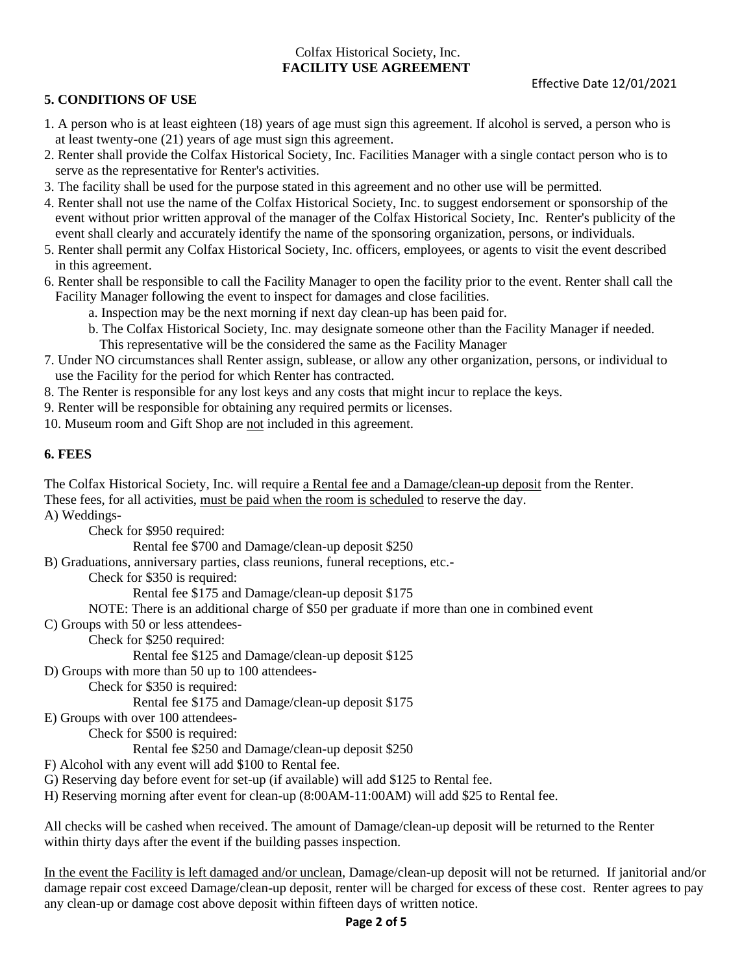## **5. CONDITIONS OF USE**

- 1. A person who is at least eighteen (18) years of age must sign this agreement. If alcohol is served, a person who is at least twenty-one (21) years of age must sign this agreement.
- 2. Renter shall provide the Colfax Historical Society, Inc. Facilities Manager with a single contact person who is to serve as the representative for Renter's activities.
- 3. The facility shall be used for the purpose stated in this agreement and no other use will be permitted.
- 4. Renter shall not use the name of the Colfax Historical Society, Inc. to suggest endorsement or sponsorship of the event without prior written approval of the manager of the Colfax Historical Society, Inc. Renter's publicity of the event shall clearly and accurately identify the name of the sponsoring organization, persons, or individuals.
- 5. Renter shall permit any Colfax Historical Society, Inc. officers, employees, or agents to visit the event described in this agreement.
- 6. Renter shall be responsible to call the Facility Manager to open the facility prior to the event. Renter shall call the Facility Manager following the event to inspect for damages and close facilities.
	- a. Inspection may be the next morning if next day clean-up has been paid for.
	- b. The Colfax Historical Society, Inc. may designate someone other than the Facility Manager if needed. This representative will be the considered the same as the Facility Manager
- 7. Under NO circumstances shall Renter assign, sublease, or allow any other organization, persons, or individual to use the Facility for the period for which Renter has contracted.
- 8. The Renter is responsible for any lost keys and any costs that might incur to replace the keys.
- 9. Renter will be responsible for obtaining any required permits or licenses.
- 10. Museum room and Gift Shop are not included in this agreement.

## **6. FEES**

The Colfax Historical Society, Inc. will require a Rental fee and a Damage/clean-up deposit from the Renter. These fees, for all activities, must be paid when the room is scheduled to reserve the day.

A) Weddings-

Check for \$950 required:

Rental fee \$700 and Damage/clean-up deposit \$250

B) Graduations, anniversary parties, class reunions, funeral receptions, etc.-

Check for \$350 is required:

Rental fee \$175 and Damage/clean-up deposit \$175

NOTE: There is an additional charge of \$50 per graduate if more than one in combined event

C) Groups with 50 or less attendees-

Check for \$250 required:

Rental fee \$125 and Damage/clean-up deposit \$125

D) Groups with more than 50 up to 100 attendees-

Check for \$350 is required:

Rental fee \$175 and Damage/clean-up deposit \$175

E) Groups with over 100 attendees-

Check for \$500 is required:

Rental fee \$250 and Damage/clean-up deposit \$250

- F) Alcohol with any event will add \$100 to Rental fee.
- G) Reserving day before event for set-up (if available) will add \$125 to Rental fee.
- H) Reserving morning after event for clean-up (8:00AM-11:00AM) will add \$25 to Rental fee.

All checks will be cashed when received. The amount of Damage/clean-up deposit will be returned to the Renter within thirty days after the event if the building passes inspection.

In the event the Facility is left damaged and/or unclean, Damage/clean-up deposit will not be returned. If janitorial and/or damage repair cost exceed Damage/clean-up deposit, renter will be charged for excess of these cost. Renter agrees to pay any clean-up or damage cost above deposit within fifteen days of written notice.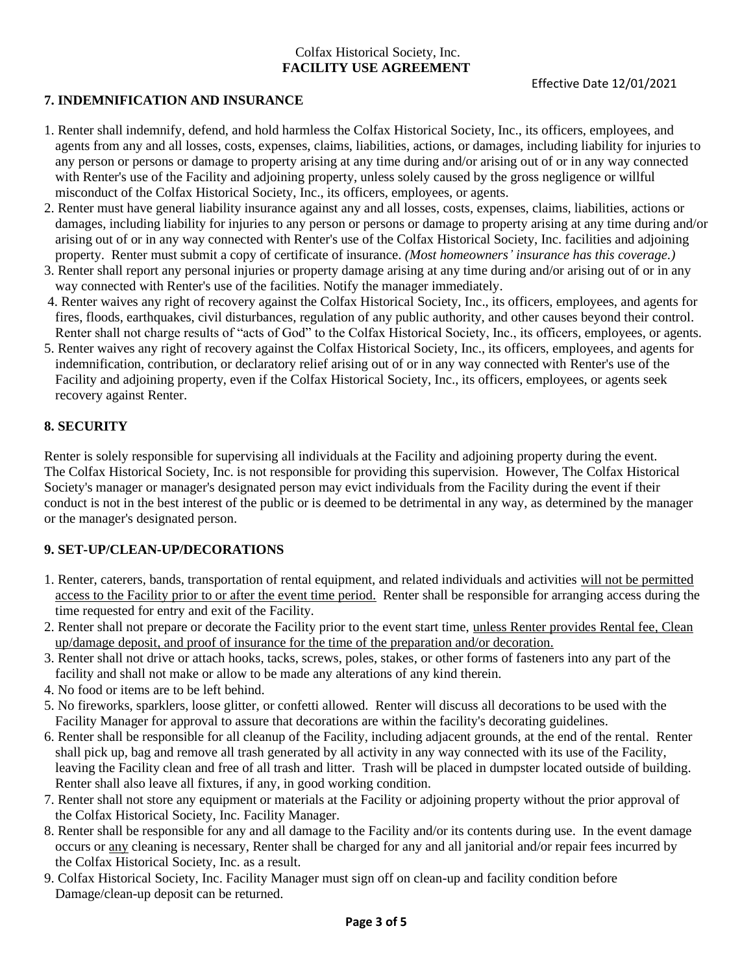## **7. INDEMNIFICATION AND INSURANCE**

- 1. Renter shall indemnify, defend, and hold harmless the Colfax Historical Society, Inc., its officers, employees, and agents from any and all losses, costs, expenses, claims, liabilities, actions, or damages, including liability for injuries to any person or persons or damage to property arising at any time during and/or arising out of or in any way connected with Renter's use of the Facility and adjoining property, unless solely caused by the gross negligence or willful misconduct of the Colfax Historical Society, Inc., its officers, employees, or agents.
- 2. Renter must have general liability insurance against any and all losses, costs, expenses, claims, liabilities, actions or damages, including liability for injuries to any person or persons or damage to property arising at any time during and/or arising out of or in any way connected with Renter's use of the Colfax Historical Society, Inc. facilities and adjoining property. Renter must submit a copy of certificate of insurance. *(Most homeowners' insurance has this coverage.)*
- 3. Renter shall report any personal injuries or property damage arising at any time during and/or arising out of or in any way connected with Renter's use of the facilities. Notify the manager immediately.
- 4. Renter waives any right of recovery against the Colfax Historical Society, Inc., its officers, employees, and agents for fires, floods, earthquakes, civil disturbances, regulation of any public authority, and other causes beyond their control. Renter shall not charge results of "acts of God" to the Colfax Historical Society, Inc., its officers, employees, or agents.
- 5. Renter waives any right of recovery against the Colfax Historical Society, Inc., its officers, employees, and agents for indemnification, contribution, or declaratory relief arising out of or in any way connected with Renter's use of the Facility and adjoining property, even if the Colfax Historical Society, Inc., its officers, employees, or agents seek recovery against Renter.

## **8. SECURITY**

Renter is solely responsible for supervising all individuals at the Facility and adjoining property during the event. The Colfax Historical Society, Inc. is not responsible for providing this supervision. However, The Colfax Historical Society's manager or manager's designated person may evict individuals from the Facility during the event if their conduct is not in the best interest of the public or is deemed to be detrimental in any way, as determined by the manager or the manager's designated person.

## **9. SET-UP/CLEAN-UP/DECORATIONS**

- 1. Renter, caterers, bands, transportation of rental equipment, and related individuals and activities will not be permitted access to the Facility prior to or after the event time period. Renter shall be responsible for arranging access during the time requested for entry and exit of the Facility.
- 2. Renter shall not prepare or decorate the Facility prior to the event start time, unless Renter provides Rental fee, Clean up/damage deposit, and proof of insurance for the time of the preparation and/or decoration.
- 3. Renter shall not drive or attach hooks, tacks, screws, poles, stakes, or other forms of fasteners into any part of the facility and shall not make or allow to be made any alterations of any kind therein.
- 4. No food or items are to be left behind.
- 5. No fireworks, sparklers, loose glitter, or confetti allowed. Renter will discuss all decorations to be used with the Facility Manager for approval to assure that decorations are within the facility's decorating guidelines.
- 6. Renter shall be responsible for all cleanup of the Facility, including adjacent grounds, at the end of the rental. Renter shall pick up, bag and remove all trash generated by all activity in any way connected with its use of the Facility, leaving the Facility clean and free of all trash and litter. Trash will be placed in dumpster located outside of building. Renter shall also leave all fixtures, if any, in good working condition.
- 7. Renter shall not store any equipment or materials at the Facility or adjoining property without the prior approval of the Colfax Historical Society, Inc. Facility Manager.
- 8. Renter shall be responsible for any and all damage to the Facility and/or its contents during use. In the event damage occurs or any cleaning is necessary, Renter shall be charged for any and all janitorial and/or repair fees incurred by the Colfax Historical Society, Inc. as a result.
- 9. Colfax Historical Society, Inc. Facility Manager must sign off on clean-up and facility condition before Damage/clean-up deposit can be returned.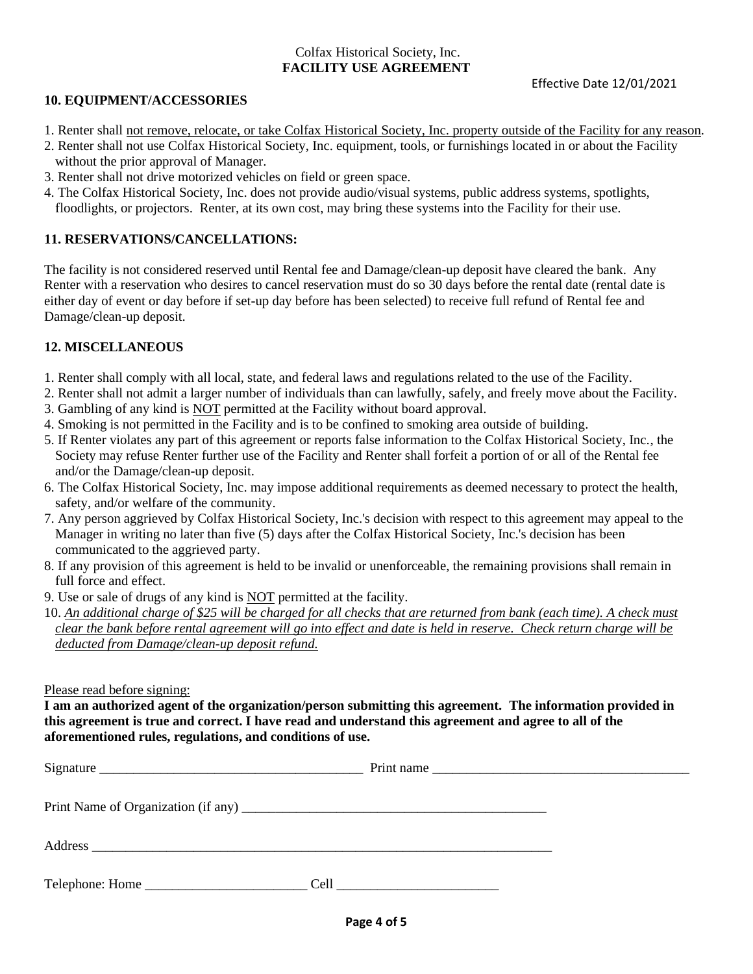### **10. EQUIPMENT/ACCESSORIES**

- 1. Renter shall not remove, relocate, or take Colfax Historical Society, Inc. property outside of the Facility for any reason.
- 2. Renter shall not use Colfax Historical Society, Inc. equipment, tools, or furnishings located in or about the Facility without the prior approval of Manager.
- 3. Renter shall not drive motorized vehicles on field or green space.
- 4. The Colfax Historical Society, Inc. does not provide audio/visual systems, public address systems, spotlights, floodlights, or projectors. Renter, at its own cost, may bring these systems into the Facility for their use.

### **11. RESERVATIONS/CANCELLATIONS:**

The facility is not considered reserved until Rental fee and Damage/clean-up deposit have cleared the bank. Any Renter with a reservation who desires to cancel reservation must do so 30 days before the rental date (rental date is either day of event or day before if set-up day before has been selected) to receive full refund of Rental fee and Damage/clean-up deposit.

### **12. MISCELLANEOUS**

- 1. Renter shall comply with all local, state, and federal laws and regulations related to the use of the Facility.
- 2. Renter shall not admit a larger number of individuals than can lawfully, safely, and freely move about the Facility.
- 3. Gambling of any kind is NOT permitted at the Facility without board approval.
- 4. Smoking is not permitted in the Facility and is to be confined to smoking area outside of building.
- 5. If Renter violates any part of this agreement or reports false information to the Colfax Historical Society, Inc., the Society may refuse Renter further use of the Facility and Renter shall forfeit a portion of or all of the Rental fee and/or the Damage/clean-up deposit.
- 6. The Colfax Historical Society, Inc. may impose additional requirements as deemed necessary to protect the health, safety, and/or welfare of the community.
- 7. Any person aggrieved by Colfax Historical Society, Inc.'s decision with respect to this agreement may appeal to the Manager in writing no later than five (5) days after the Colfax Historical Society, Inc.'s decision has been communicated to the aggrieved party.
- 8. If any provision of this agreement is held to be invalid or unenforceable, the remaining provisions shall remain in full force and effect.
- 9. Use or sale of drugs of any kind is NOT permitted at the facility.
- 10. *An additional charge of \$25 will be charged for all checks that are returned from bank (each time). A check must clear the bank before rental agreement will go into effect and date is held in reserve. Check return charge will be deducted from Damage/clean-up deposit refund.*

Please read before signing:

**I am an authorized agent of the organization/person submitting this agreement. The information provided in this agreement is true and correct. I have read and understand this agreement and agree to all of the aforementioned rules, regulations, and conditions of use.**